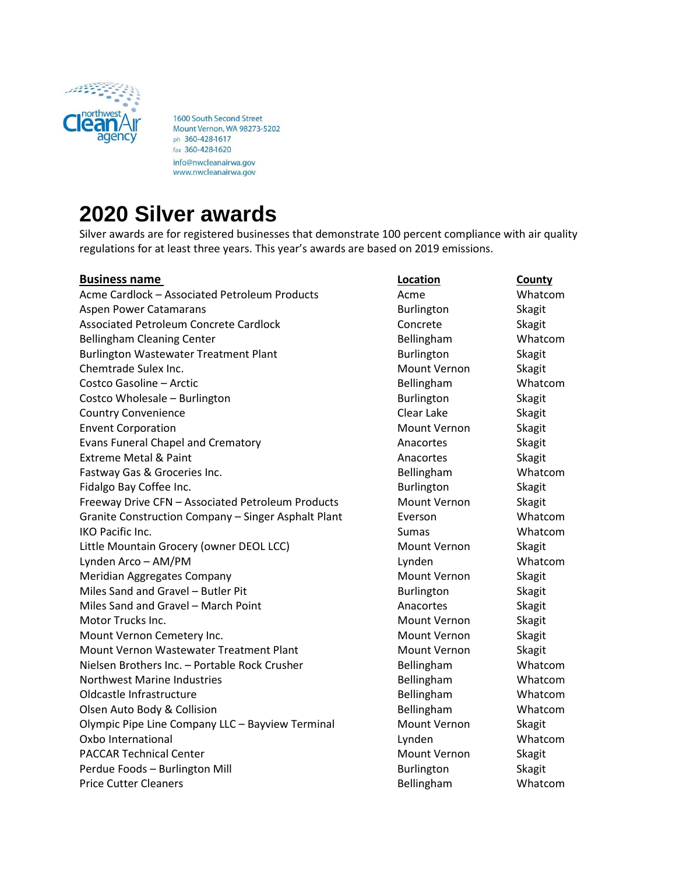

1600 South Second Street Mount Vernon, WA 98273-5202 ph 360-428-1617 fax 360-428-1620 info@nwcleanairwa.gov www.nwcleanairwa.gov

## **2020 Silver awards**

Silver awards are for registered businesses that demonstrate 100 percent compliance with air quality regulations for at least three years. This year's awards are based on 2019 emissions.

## **Business name Location County** Acme Cardlock – Associated Petroleum Products and Acme Acme Whatcom Aspen Power Catamarans and Burlington Skagit Communist Communist Communist Communist Communist Communist Communist Communist Communist Communist Communist Communist Communist Communist Communist Communist Communist Communi Associated Petroleum Concrete Cardlock Concrete Concrete Cardlock Concrete Skagit Bellingham Cleaning Center **Bellingham** Whatcom Burlington Wastewater Treatment Plant Burlington Burlington Skagit Chemtrade Sulex Inc. **Mount Vernon** Skagit Costco Gasoline – Arctic **Bellingham** Whatcom **Bellingham** Whatcom Costco Wholesale – Burlington **Burlington** Burlington Burlington Skagit Country Convenience **Country Convenience** Clear Lake Skagit Envent Corporation **Mount Vernon** Skagit Evans Funeral Chapel and Crematory **Anacortes** Anacortes Skagit Extreme Metal & Paint Anacortes Anacortes Skagit Fastway Gas & Groceries Inc. The Contract of the Bellingham Multiple of Whatcom Fidalgo Bay Coffee Inc. The Communication Skagit Control of Burlington Skagit Freeway Drive CFN – Associated Petroleum Products Mount Vernon Skagit Granite Construction Company – Singer Asphalt Plant Everson Everson Whatcom IKO Pacific Inc. Notice that the summate include the Sumas Sumas Whatcom Whatcom Little Mountain Grocery (owner DEOL LCC) Mount Vernon Skagit Lynden Arco – AM/PM Lynden Whatcom Meridian Aggregates Company Mount Vernon Skagit Miles Sand and Gravel – Butler Pit **Burlington** Burlington Skagit Miles Sand and Gravel – March Point Anacortes Anacortes Skagit Motor Trucks Inc. **Motor Trucks Inc.** Motor Trucks Inc. Motor Assembly Motor Trucks Inc. Mount Vernon Cemetery Inc. The Control of the Mount Vernon Skagit Mount Vernon Wastewater Treatment Plant Mount Vernon Skagit Nielsen Brothers Inc. – Portable Rock Crusher Bellingham Whatcom Northwest Marine Industries **Bellingham** Whatcom Oldcastle Infrastructure and a settlement of the Bellingham Bellingham Whatcom Olsen Auto Body & Collision **Bellingham** Bellingham Whatcom Olympic Pipe Line Company LLC – Bayview Terminal Mount Vernon Skagit Oxbo International Lynden Whatcom PACCAR Technical Center Mount Vernon Skagit Perdue Foods – Burlington Mill **Burlington** Burlington Skagit Price Cutter Cleaners **Bellingham** Whatcom